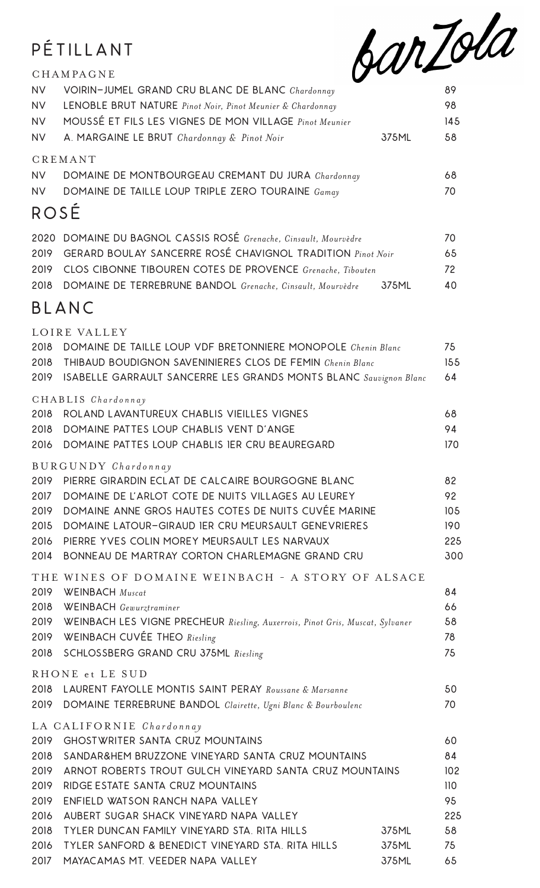## PÉTILLANT

CHAMPAGNE



| <b>NV</b><br><b>NV</b> | VOIRIN-JUMEL GRAND CRU BLANC DE BLANC Chardonnay<br>LENOBLE BRUT NATURE Pinot Noir, Pinot Meunier & Chardonnay            |                | 89<br>98   |
|------------------------|---------------------------------------------------------------------------------------------------------------------------|----------------|------------|
| <b>NV</b><br><b>NV</b> | MOUSSÉ ET FILS LES VIGNES DE MON VILLAGE Pinot Meunier<br>A. MARGAINE LE BRUT Chardonnay & Pinot Noir                     | 375ML          | 145<br>58  |
|                        | <b>CREMANT</b>                                                                                                            |                |            |
| <b>NV</b>              | DOMAINE DE MONTBOURGEAU CREMANT DU JURA Chardonnay                                                                        |                | 68         |
| <b>NV</b>              | DOMAINE DE TAILLE LOUP TRIPLE ZERO TOURAINE Gamay                                                                         |                | 70         |
| ROSÉ                   |                                                                                                                           |                |            |
|                        | 2020 DOMAINE DU BAGNOL CASSIS ROSÉ Grenache, Cinsault, Mourvèdre                                                          |                | 70         |
| 2019                   | <b>GERARD BOULAY SANCERRE ROSÉ CHAVIGNOL TRADITION</b> Pinot Noir                                                         |                | 65         |
| 2019                   | CLOS CIBONNE TIBOUREN COTES DE PROVENCE Grenache, Tibouten                                                                |                | 72         |
| 2018                   | DOMAINE DE TERREBRUNE BANDOL Grenache, Cinsault, Mourvèdre                                                                | 375ML          | 40         |
|                        | BLANC                                                                                                                     |                |            |
|                        | LOIRE VALLEY                                                                                                              |                |            |
| 2018<br>2018           | DOMAINE DE TAILLE LOUP VDF BRETONNIERE MONOPOLE Chenin Blanc<br>THIBAUD BOUDIGNON SAVENINIERES CLOS DE FEMIN Chenin Blanc |                | 75<br>155  |
| 2019                   | ISABELLE GARRAULT SANCERRE LES GRANDS MONTS BLANC Sauvignon Blanc                                                         |                | 64         |
|                        |                                                                                                                           |                |            |
| 2018                   | CHABLIS Chardonnay<br>ROLAND LAVANTUREUX CHABLIS VIEILLES VIGNES                                                          |                | 68         |
| 2018                   | DOMAINE PATTES LOUP CHABLIS VENT D'ANGE                                                                                   |                | 94         |
| 2016                   | DOMAINE PATTES LOUP CHABLIS IER CRU BEAUREGARD                                                                            |                | 170        |
|                        | BURGUNDY Chardonnay                                                                                                       |                |            |
|                        | 2019 PIERRE GIRARDIN ECLAT DE CALCAIRE BOURGOGNE BLANC                                                                    |                | 82         |
| 2017                   | DOMAINE DE L'ARLOT COTE DE NUITS VILLAGES AU LEUREY                                                                       |                | 92         |
| 2019<br>2015           | DOMAINE ANNE GROS HAUTES COTES DE NUITS CUVÉE MARINE<br>DOMAINE LATOUR-GIRAUD IER CRU MEURSAULT GENEVRIERES               |                | 105<br>190 |
| 2016                   | PIERRE YVES COLIN MOREY MEURSAULT LES NARVAUX                                                                             |                | 225        |
| 2014                   | BONNEAU DE MARTRAY CORTON CHARLEMAGNE GRAND CRU                                                                           |                | 300        |
|                        | THE WINES OF DOMAINE WEINBACH - A STORY OF ALSACE                                                                         |                |            |
| 2019                   | <b>WEINBACH</b> Muscat                                                                                                    |                | 84         |
| 2018                   | <b>WEINBACH</b> Gewurztraminer                                                                                            |                | 66         |
| 2019<br>2019           | WEINBACH LES VIGNE PRECHEUR Riesling, Auxerrois, Pinot Gris, Muscat, Sylvaner<br>WEINBACH CUVÉE THEO Riesling             |                | 58<br>78   |
| 2018                   | SCHLOSSBERG GRAND CRU 375ML Riesling                                                                                      |                | 75         |
|                        | RHONE et LE SUD                                                                                                           |                |            |
| 2018                   | LAURENT FAYOLLE MONTIS SAINT PERAY Roussane & Marsanne                                                                    |                | 50         |
| 2019                   | DOMAINE TERREBRUNE BANDOL Clairette, Ugni Blanc & Bourboulenc                                                             |                | 70         |
|                        | LA CALIFORNIE Chardonnay                                                                                                  |                |            |
| 2019                   | <b>GHOSTWRITER SANTA CRUZ MOUNTAINS</b>                                                                                   |                | 60         |
| 2018<br>2019           | SANDAR&HEM BRUZZONE VINEYARD SANTA CRUZ MOUNTAINS<br>ARNOT ROBERTS TROUT GULCH VINEYARD SANTA CRUZ MOUNTAINS              |                | 84<br>102  |
| 2019                   | RIDGE ESTATE SANTA CRUZ MOUNTAINS                                                                                         |                | 110        |
| 2019                   | ENFIELD WATSON RANCH NAPA VALLEY                                                                                          |                | 95         |
| 2016                   | AUBERT SUGAR SHACK VINEYARD NAPA VALLEY                                                                                   |                | 225        |
| 2018                   | TYLER DUNCAN FAMILY VINEYARD STA. RITA HILLS                                                                              | 375ML          | 58         |
| 2016<br>2017           | TYLER SANFORD & BENEDICT VINEYARD STA. RITA HILLS<br>MAYACAMAS MT. VEEDER NAPA VALLEY                                     | 375ML<br>375ML | 75<br>65   |
|                        |                                                                                                                           |                |            |